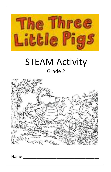

# STEAM Activity Grade 2



Name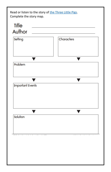Read or listen to the story of [the Three Little Pigs.](https://www.youtube.com/watch?v=1WjHqT8dgeQ) Complete the story map.

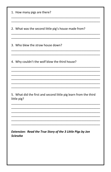| 1. How many pigs are there?                                                     |
|---------------------------------------------------------------------------------|
| 2. What was the second little pig's house made from?                            |
| 3. Who blew the straw house down?                                               |
| 4. Why couldn't the wolf blow the third house?                                  |
|                                                                                 |
| 5. What did the first and second little pig learn from the third<br>little pig? |
|                                                                                 |
| Extension: Read the True Story of the 3 Little Pigs by Jon<br><b>Scieszka</b>   |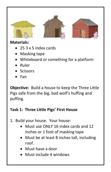





#### **Materials:**

- 25 3 x 5 index cards
- Masking tape
- Whiteboard or something for a platform
- Ruler
- Scissors
- Fan

**Objective:** Build a house to keep the Three Little Pigs safe from the big, bad wolf's huffing and puffing.

## **Task 1: Three Little Pigs' First House**

- 1. Build your house. Your house:
	- Must use ONLY 16 index cards and 12 inches or 1 foot of masking tape
	- Must be at least 8 inches tall, including roof.
	- Must have a door
	- Must include 4 windows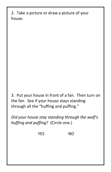2. Take a picture or draw a picture of your house.

3. Put your house in front of a fan. Then turn on the fan. See if your house stays standing through all the "huffing and puffing."

*Did your house stay standing through the wolf's huffing and puffing?*(Circle one.)

YES NO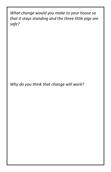*What change would you make to your house so that it stays standing and the three little pigs are safe?*

*Why do you think that change will work?*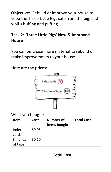**Objective:**Rebuild or improve your house to keep the Three Little Pigs safe from the big, bad wolf's huffing and puffing.

### **Task 2: Three Little Pigs' New & Improved House**

You can purchase more material to rebuild or make improvements to your house.

Here are the prices:



#### What you bought:

| <b>Item</b>         | Cost   | <b>Number of</b><br>items bought | <b>Total Cost</b> |  |
|---------------------|--------|----------------------------------|-------------------|--|
| Index<br>cards      | \$0.05 |                                  |                   |  |
| 3 inches<br>of tape | \$0.10 |                                  |                   |  |
| <b>Total Cost</b>   |        |                                  |                   |  |